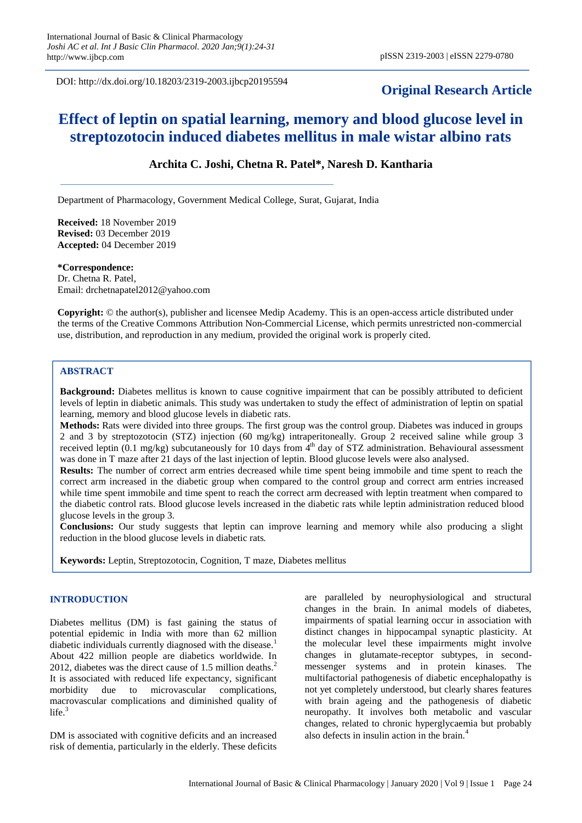DOI: http://dx.doi.org/10.18203/2319-2003.ijbcp20195594

# **Original Research Article**

# **Effect of leptin on spatial learning, memory and blood glucose level in streptozotocin induced diabetes mellitus in male wistar albino rats**

# **Archita C. Joshi, Chetna R. Patel\*, Naresh D. Kantharia**

Department of Pharmacology, Government Medical College, Surat, Gujarat, India

**Received:** 18 November 2019 **Revised:** 03 December 2019 **Accepted:** 04 December 2019

**\*Correspondence:**

Dr. Chetna R. Patel, Email: drchetnapatel2012@yahoo.com

**Copyright:** © the author(s), publisher and licensee Medip Academy. This is an open-access article distributed under the terms of the Creative Commons Attribution Non-Commercial License, which permits unrestricted non-commercial use, distribution, and reproduction in any medium, provided the original work is properly cited.

## **ABSTRACT**

**Background:** Diabetes mellitus is known to cause cognitive impairment that can be possibly attributed to deficient levels of leptin in diabetic animals. This study was undertaken to study the effect of administration of leptin on spatial learning, memory and blood glucose levels in diabetic rats.

**Methods:** Rats were divided into three groups. The first group was the control group. Diabetes was induced in groups 2 and 3 by streptozotocin (STZ) injection (60 mg/kg) intraperitoneally. Group 2 received saline while group 3 received leptin  $(0.1 \text{ mg/kg})$  subcutaneously for 10 days from  $4^{\text{th}}$  day of STZ administration. Behavioural assessment was done in T maze after 21 days of the last injection of leptin. Blood glucose levels were also analysed.

**Results:** The number of correct arm entries decreased while time spent being immobile and time spent to reach the correct arm increased in the diabetic group when compared to the control group and correct arm entries increased while time spent immobile and time spent to reach the correct arm decreased with leptin treatment when compared to the diabetic control rats. Blood glucose levels increased in the diabetic rats while leptin administration reduced blood glucose levels in the group 3.

**Conclusions:** Our study suggests that leptin can improve learning and memory while also producing a slight reduction in the blood glucose levels in diabetic rats.

**Keywords:** Leptin, Streptozotocin, Cognition, T maze, Diabetes mellitus

#### **INTRODUCTION**

Diabetes mellitus (DM) is fast gaining the status of potential epidemic in India with more than 62 million diabetic individuals currently diagnosed with the disease.<sup>1</sup> About 422 million people are diabetics worldwide. In 2012, diabetes was the direct cause of 1.5 million deaths.<sup>2</sup> It is associated with reduced life expectancy, significant morbidity due to microvascular complications, macrovascular complications and diminished quality of  $life.<sup>3</sup>$ 

DM is associated with cognitive deficits and an increased risk of dementia, particularly in the elderly. These deficits

are paralleled by neurophysiological and structural changes in the brain. In animal models of diabetes, impairments of spatial learning occur in association with distinct changes in hippocampal synaptic plasticity. At the molecular level these impairments might involve changes in glutamate-receptor subtypes, in secondmessenger systems and in protein kinases. The multifactorial pathogenesis of diabetic encephalopathy is not yet completely understood, but clearly shares features with brain ageing and the pathogenesis of diabetic neuropathy. It involves both metabolic and vascular changes, related to chronic hyperglycaemia but probably also defects in insulin action in the brain.<sup>4</sup>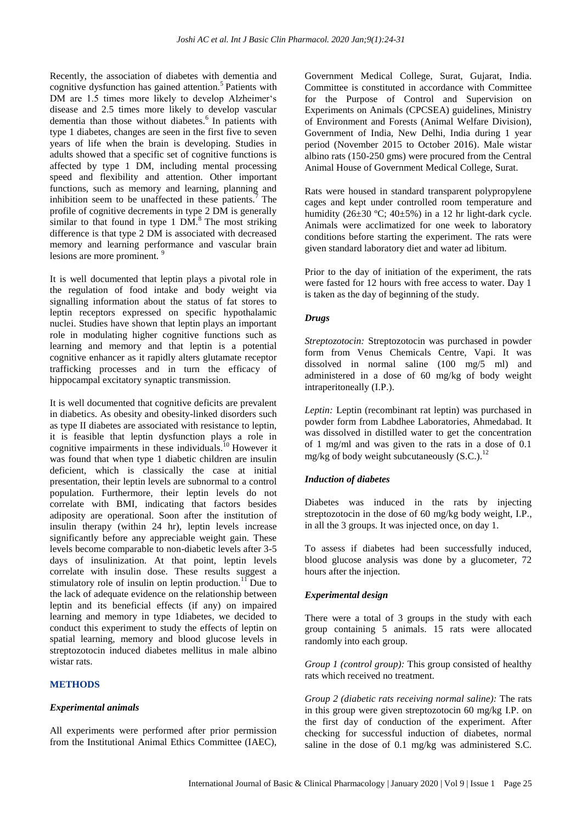Recently, the association of diabetes with dementia and cognitive dysfunction has gained attention.<sup>5</sup> Patients with DM are 1.5 times more likely to develop Alzheimer's disease and 2.5 times more likely to develop vascular dementia than those without diabetes.<sup>6</sup> In patients with type 1 diabetes, changes are seen in the first five to seven years of life when the brain is developing. Studies in adults showed that a specific set of cognitive functions is affected by type 1 DM, including mental processing speed and flexibility and attention. Other important functions, such as memory and learning, planning and inhibition seem to be unaffected in these patients.<sup>7</sup> The profile of cognitive decrements in type 2 DM is generally similar to that found in type  $1$   $\overrightarrow{DM}$ .<sup>8</sup> The most striking difference is that type 2 DM is associated with decreased memory and learning performance and vascular brain lesions are more prominent.<sup>9</sup>

It is well documented that leptin plays a pivotal role in the regulation of food intake and body weight via signalling information about the status of fat stores to leptin receptors expressed on specific hypothalamic nuclei. Studies have shown that leptin plays an important role in modulating higher cognitive functions such as learning and memory and that leptin is a potential cognitive enhancer as it rapidly alters glutamate receptor trafficking processes and in turn the efficacy of hippocampal excitatory synaptic transmission.

It is well documented that cognitive deficits are prevalent in diabetics. As obesity and obesity-linked disorders such as type II diabetes are associated with resistance to leptin, it is feasible that leptin dysfunction plays a role in cognitive impairments in these individuals. $^{10}$  However it was found that when type 1 diabetic children are insulin deficient, which is classically the case at initial presentation, their leptin levels are subnormal to a control population. Furthermore, their leptin levels do not correlate with BMI, indicating that factors besides adiposity are operational. Soon after the institution of insulin therapy (within 24 hr), leptin levels increase significantly before any appreciable weight gain. These levels become comparable to non-diabetic levels after 3-5 days of insulinization. At that point, leptin levels correlate with insulin dose. These results suggest a stimulatory role of insulin on leptin production.<sup>11</sup>Due to the lack of adequate evidence on the relationship between leptin and its beneficial effects (if any) on impaired learning and memory in type 1diabetes, we decided to conduct this experiment to study the effects of leptin on spatial learning, memory and blood glucose levels in streptozotocin induced diabetes mellitus in male albino wistar rats.

#### **METHODS**

#### *Experimental animals*

All experiments were performed after prior permission from the Institutional Animal Ethics Committee (IAEC),

Government Medical College, Surat, Gujarat, India. Committee is constituted in accordance with Committee for the Purpose of Control and Supervision on Experiments on Animals (CPCSEA) guidelines, Ministry of Environment and Forests (Animal Welfare Division), Government of India, New Delhi, India during 1 year period (November 2015 to October 2016). Male wistar albino rats (150-250 gms) were procured from the Central Animal House of Government Medical College, Surat.

Rats were housed in standard transparent polypropylene cages and kept under controlled room temperature and humidity ( $26\pm30$  °C;  $40\pm5\%$ ) in a 12 hr light-dark cycle. Animals were acclimatized for one week to laboratory conditions before starting the experiment. The rats were given standard laboratory diet and water ad libitum.

Prior to the day of initiation of the experiment, the rats were fasted for 12 hours with free access to water. Day 1 is taken as the day of beginning of the study.

## *Drugs*

*Streptozotocin:* Streptozotocin was purchased in powder form from Venus Chemicals Centre, Vapi. It was dissolved in normal saline (100 mg/5 ml) and administered in a dose of 60 mg/kg of body weight intraperitoneally (I.P.).

*Leptin:* Leptin (recombinant rat leptin) was purchased in powder form from Labdhee Laboratories, Ahmedabad. It was dissolved in distilled water to get the concentration of 1 mg/ml and was given to the rats in a dose of 0.1 mg/kg of body weight subcutaneously  $(S.C.).$ <sup>12</sup>

#### *Induction of diabetes*

Diabetes was induced in the rats by injecting streptozotocin in the dose of 60 mg/kg body weight, I.P., in all the 3 groups. It was injected once, on day 1.

To assess if diabetes had been successfully induced, blood glucose analysis was done by a glucometer, 72 hours after the injection.

#### *Experimental design*

There were a total of 3 groups in the study with each group containing 5 animals. 15 rats were allocated randomly into each group.

*Group 1 (control group):* This group consisted of healthy rats which received no treatment.

*Group 2 (diabetic rats receiving normal saline):* The rats in this group were given streptozotocin 60 mg/kg I.P. on the first day of conduction of the experiment. After checking for successful induction of diabetes, normal saline in the dose of 0.1 mg/kg was administered S.C.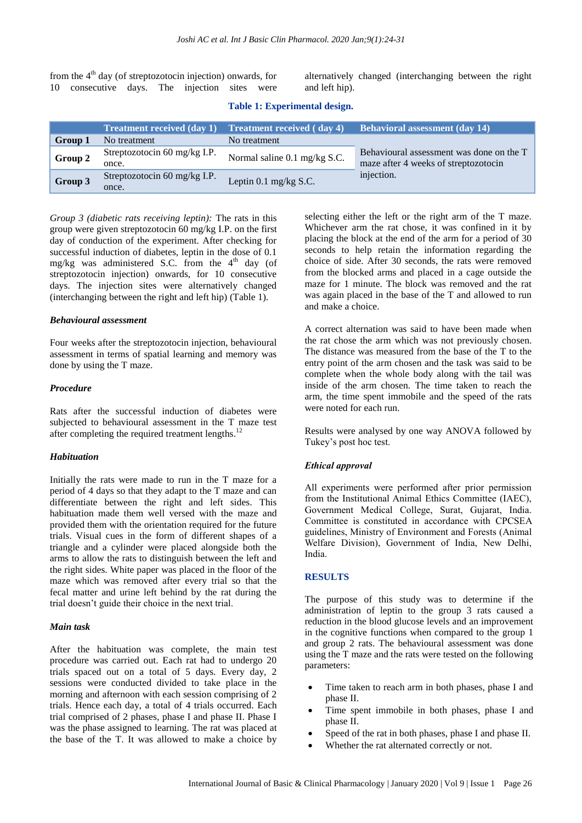from the  $4<sup>th</sup>$  day (of streptozotocin injection) onwards, for 10 consecutive days. The injection sites were alternatively changed (interchanging between the right and left hip).

| Table 1: Experimental design. |  |
|-------------------------------|--|
|-------------------------------|--|

|         | <b>Treatment received (day 1)</b>     | <b>Treatment received (day 4)</b> | <b>Behavioral assessment (day 14)</b>                                            |  |
|---------|---------------------------------------|-----------------------------------|----------------------------------------------------------------------------------|--|
| Group 1 | No treatment                          | No treatment                      |                                                                                  |  |
| Group 2 | Streptozotocin 60 mg/kg I.P.<br>once. | Normal saline 0.1 mg/kg S.C.      | Behavioural assessment was done on the T<br>maze after 4 weeks of streptozotocin |  |
| Group 3 | Streptozotocin 60 mg/kg I.P.<br>once. | Leptin $0.1$ mg/kg S.C.           | injection.                                                                       |  |

*Group 3 (diabetic rats receiving leptin):* The rats in this group were given streptozotocin 60 mg/kg I.P. on the first day of conduction of the experiment. After checking for successful induction of diabetes, leptin in the dose of 0.1 mg/kg was administered S.C. from the  $4<sup>th</sup>$  day (of streptozotocin injection) onwards, for 10 consecutive days. The injection sites were alternatively changed (interchanging between the right and left hip) (Table 1).

#### *Behavioural assessment*

Four weeks after the streptozotocin injection, behavioural assessment in terms of spatial learning and memory was done by using the T maze.

#### *Procedure*

Rats after the successful induction of diabetes were subjected to behavioural assessment in the T maze test after completing the required treatment lengths.<sup>12</sup>

#### *Habituation*

Initially the rats were made to run in the T maze for a period of 4 days so that they adapt to the T maze and can differentiate between the right and left sides. This habituation made them well versed with the maze and provided them with the orientation required for the future trials. Visual cues in the form of different shapes of a triangle and a cylinder were placed alongside both the arms to allow the rats to distinguish between the left and the right sides. White paper was placed in the floor of the maze which was removed after every trial so that the fecal matter and urine left behind by the rat during the trial doesn't guide their choice in the next trial.

#### *Main task*

After the habituation was complete, the main test procedure was carried out. Each rat had to undergo 20 trials spaced out on a total of 5 days. Every day, 2 sessions were conducted divided to take place in the morning and afternoon with each session comprising of 2 trials. Hence each day, a total of 4 trials occurred. Each trial comprised of 2 phases, phase I and phase II. Phase I was the phase assigned to learning. The rat was placed at the base of the T. It was allowed to make a choice by

selecting either the left or the right arm of the T maze. Whichever arm the rat chose, it was confined in it by placing the block at the end of the arm for a period of 30 seconds to help retain the information regarding the choice of side. After 30 seconds, the rats were removed from the blocked arms and placed in a cage outside the maze for 1 minute. The block was removed and the rat was again placed in the base of the T and allowed to run and make a choice.

A correct alternation was said to have been made when the rat chose the arm which was not previously chosen. The distance was measured from the base of the T to the entry point of the arm chosen and the task was said to be complete when the whole body along with the tail was inside of the arm chosen. The time taken to reach the arm, the time spent immobile and the speed of the rats were noted for each run.

Results were analysed by one way ANOVA followed by Tukey's post hoc test.

#### *Ethical approval*

All experiments were performed after prior permission from the Institutional Animal Ethics Committee (IAEC), Government Medical College, Surat, Gujarat, India. Committee is constituted in accordance with CPCSEA guidelines, Ministry of Environment and Forests (Animal Welfare Division), Government of India, New Delhi, India.

#### **RESULTS**

The purpose of this study was to determine if the administration of leptin to the group 3 rats caused a reduction in the blood glucose levels and an improvement in the cognitive functions when compared to the group 1 and group 2 rats. The behavioural assessment was done using the T maze and the rats were tested on the following parameters:

- Time taken to reach arm in both phases, phase I and phase II.
- Time spent immobile in both phases, phase I and phase II.
- Speed of the rat in both phases, phase I and phase II.
- Whether the rat alternated correctly or not.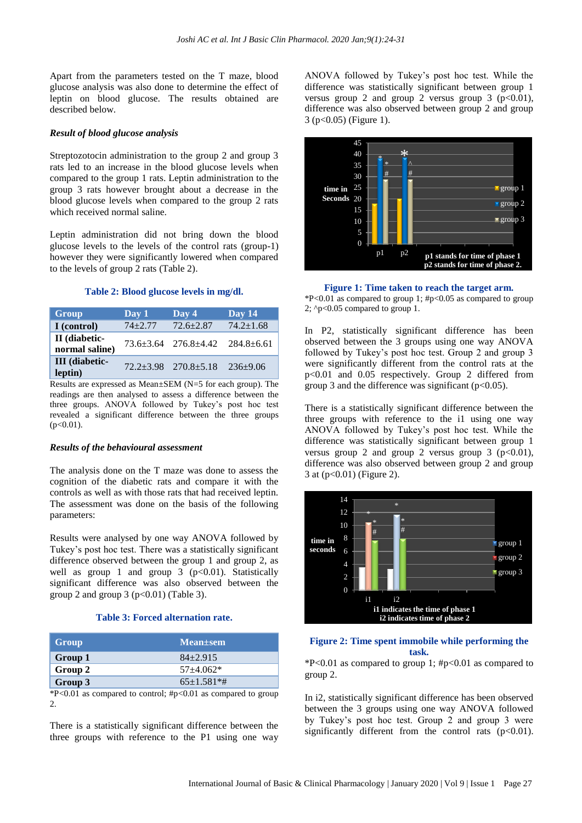Apart from the parameters tested on the T maze, blood glucose analysis was also done to determine the effect of leptin on blood glucose. The results obtained are described below.

#### *Result of blood glucose analysis*

Streptozotocin administration to the group 2 and group 3 rats led to an increase in the blood glucose levels when compared to the group 1 rats. Leptin administration to the group 3 rats however brought about a decrease in the blood glucose levels when compared to the group 2 rats which received normal saline.

Leptin administration did not bring down the blood glucose levels to the levels of the control rats (group-1) however they were significantly lowered when compared to the levels of group 2 rats (Table 2).

#### **Table 2: Blood glucose levels in mg/dl.**

| Group                            | Day 1       | $\overline{\mathrm{Day}}$ 4      | Day $14$         |
|----------------------------------|-------------|----------------------------------|------------------|
| I (control)                      | $74 + 2.77$ | $72.6 + 2.87$                    | $74.2 \pm 1.68$  |
| II (diabetic-<br>normal saline)  |             | $73.6 \pm 3.64$ $276.8 \pm 4.42$ | $284.8 \pm 6.61$ |
| <b>III</b> (diabetic-<br>leptin) |             | $72.2 + 3.98$ $270.8 + 5.18$     | $236+9.06$       |

Results are expressed as Mean±SEM (N=5 for each group). The readings are then analysed to assess a difference between the three groups. ANOVA followed by Tukey's post hoc test revealed a significant difference between the three groups  $(p<0.01)$ .

#### *Results of the behavioural assessment*

The analysis done on the T maze was done to assess the cognition of the diabetic rats and compare it with the controls as well as with those rats that had received leptin. The assessment was done on the basis of the following parameters:

Results were analysed by one way ANOVA followed by Tukey's post hoc test. There was a statistically significant difference observed between the group 1 and group 2, as well as group 1 and group  $3 \text{ (p<0.01)}$ . Statistically significant difference was also observed between the group 2 and group 3 ( $p<0.01$ ) (Table 3).

## **Table 3: Forced alternation rate.**

| Group   | <b>Mean</b> + sem |
|---------|-------------------|
| Group 1 | $84 + 2.915$      |
| Group 2 | $57+4.062*$       |
| Group 3 | $65 \pm 1.581$ *# |

 $*P<0.01$  as compared to control;  $\#p<0.01$  as compared to group  $\mathcal{L}$ 

There is a statistically significant difference between the three groups with reference to the P1 using one way

ANOVA followed by Tukey's post hoc test. While the difference was statistically significant between group 1 versus group 2 and group 2 versus group 3 ( $p < 0.01$ ), difference was also observed between group 2 and group 3 (p<0.05) (Figure 1).



**Figure 1: Time taken to reach the target arm.** \*P<0.01 as compared to group 1; #p<0.05 as compared to group 2;  $\degree$ p<0.05 compared to group 1.

In P2, statistically significant difference has been observed between the 3 groups using one way ANOVA followed by Tukey's post hoc test. Group 2 and group 3 were significantly different from the control rats at the p<0.01 and 0.05 respectively. Group 2 differed from group 3 and the difference was significant  $(p<0.05)$ .

There is a statistically significant difference between the three groups with reference to the i1 using one way ANOVA followed by Tukey's post hoc test. While the difference was statistically significant between group 1 versus group 2 and group 2 versus group 3 ( $p<0.01$ ), difference was also observed between group 2 and group 3 at (p<0.01) (Figure 2).



### **Figure 2: Time spent immobile while performing the task.**

 $*P<0.01$  as compared to group 1;  $\#p<0.01$  as compared to group 2.

In i2, statistically significant difference has been observed between the 3 groups using one way ANOVA followed by Tukey's post hoc test. Group 2 and group 3 were significantly different from the control rats  $(p<0.01)$ .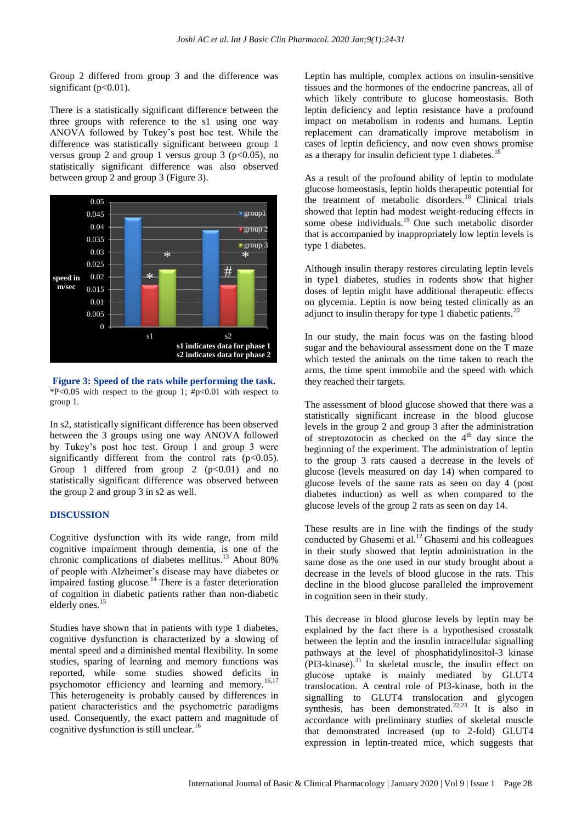Group 2 differed from group 3 and the difference was significant ( $p<0.01$ ).

There is a statistically significant difference between the three groups with reference to the s1 using one way ANOVA followed by Tukey's post hoc test. While the difference was statistically significant between group 1 versus group 2 and group 1 versus group 3 ( $p<0.05$ ), no statistically significant difference was also observed between group 2 and group 3 (Figure 3).



**Figure 3: Speed of the rats while performing the task.**  $*P<0.05$  with respect to the group 1;  $\#p<0.01$  with respect to group 1.

In s2, statistically significant difference has been observed between the 3 groups using one way ANOVA followed by Tukey's post hoc test. Group 1 and group 3 were significantly different from the control rats  $(p<0.05)$ . Group 1 differed from group 2  $(p<0.01)$  and no statistically significant difference was observed between the group 2 and group 3 in s2 as well.

#### **DISCUSSION**

Cognitive dysfunction with its wide range, from mild cognitive impairment through dementia, is one of the chronic complications of diabetes mellitus.<sup>13</sup> About 80% of people with Alzheimer's disease may have diabetes or impaired fasting glucose.<sup>14</sup> There is a faster deterioration of cognition in diabetic patients rather than non-diabetic elderly ones.<sup>15</sup>

Studies have shown that in patients with type 1 diabetes, cognitive dysfunction is characterized by a slowing of mental speed and a diminished mental flexibility. In some studies, sparing of learning and memory functions was reported, while some studies showed deficits in psychomotor efficiency and learning and memory.<sup>16,17</sup> This heterogeneity is probably caused by differences in patient characteristics and the psychometric paradigms used. Consequently, the exact pattern and magnitude of cognitive dysfunction is still unclear.<sup>16</sup>

Leptin has multiple, complex actions on insulin‐sensitive tissues and the hormones of the endocrine pancreas, all of which likely contribute to glucose homeostasis. Both leptin deficiency and leptin resistance have a profound impact on metabolism in rodents and humans. Leptin replacement can dramatically improve metabolism in cases of leptin deficiency, and now even shows promise as a therapy for insulin deficient type 1 diabetes.<sup>1</sup>

As a result of the profound ability of leptin to modulate glucose homeostasis, leptin holds therapeutic potential for the treatment of metabolic disorders.<sup>18</sup> Clinical trials showed that leptin had modest weight‐reducing effects in some obese individuals.<sup>19</sup> One such metabolic disorder that is accompanied by inappropriately low leptin levels is type 1 diabetes.

Although insulin therapy restores circulating leptin levels in type1 diabetes, studies in rodents show that higher doses of leptin might have additional therapeutic effects on glycemia. Leptin is now being tested clinically as an adjunct to insulin therapy for type 1 diabetic patients.<sup>2</sup>

In our study, the main focus was on the fasting blood sugar and the behavioural assessment done on the T maze which tested the animals on the time taken to reach the arms, the time spent immobile and the speed with which they reached their targets.

The assessment of blood glucose showed that there was a statistically significant increase in the blood glucose levels in the group 2 and group 3 after the administration of streptozotocin as checked on the  $4<sup>th</sup>$  day since the beginning of the experiment. The administration of leptin to the group 3 rats caused a decrease in the levels of glucose (levels measured on day 14) when compared to glucose levels of the same rats as seen on day 4 (post diabetes induction) as well as when compared to the glucose levels of the group 2 rats as seen on day 14.

These results are in line with the findings of the study conducted by Ghasemi et al.<sup>12</sup>Ghasemi and his colleagues in their study showed that leptin administration in the same dose as the one used in our study brought about a decrease in the levels of blood glucose in the rats. This decline in the blood glucose paralleled the improvement in cognition seen in their study.

This decrease in blood glucose levels by leptin may be explained by the fact there is a hypothesised crosstalk between the leptin and the insulin intracellular signalling pathways at the level of phosphatidylinositol-3 kinase  $(PI3\text{-}kinase).$ <sup>21</sup> In skeletal muscle, the insulin effect on glucose uptake is mainly mediated by GLUT4 translocation. A central role of PI3-kinase, both in the signalling to GLUT4 translocation and glycogen synthesis, has been demonstrated.<sup>22,23</sup> It is also in accordance with preliminary studies of skeletal muscle that demonstrated increased (up to 2-fold) GLUT4 expression in leptin-treated mice, which suggests that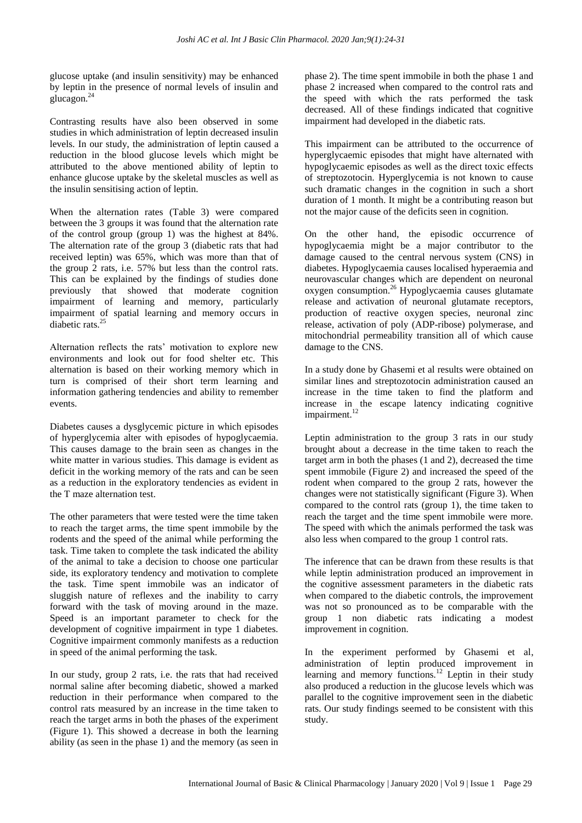glucose uptake (and insulin sensitivity) may be enhanced by leptin in the presence of normal levels of insulin and glucagon.<sup>24</sup>

Contrasting results have also been observed in some studies in which administration of leptin decreased insulin levels. In our study, the administration of leptin caused a reduction in the blood glucose levels which might be attributed to the above mentioned ability of leptin to enhance glucose uptake by the skeletal muscles as well as the insulin sensitising action of leptin.

When the alternation rates (Table 3) were compared between the 3 groups it was found that the alternation rate of the control group (group 1) was the highest at 84%. The alternation rate of the group 3 (diabetic rats that had received leptin) was 65%, which was more than that of the group 2 rats, i.e. 57% but less than the control rats. This can be explained by the findings of studies done previously that showed that moderate cognition impairment of learning and memory, particularly impairment of spatial learning and memory occurs in diabetic rats.<sup>25</sup>

Alternation reflects the rats' motivation to explore new environments and look out for food shelter etc. This alternation is based on their working memory which in turn is comprised of their short term learning and information gathering tendencies and ability to remember events.

Diabetes causes a dysglycemic picture in which episodes of hyperglycemia alter with episodes of hypoglycaemia. This causes damage to the brain seen as changes in the white matter in various studies. This damage is evident as deficit in the working memory of the rats and can be seen as a reduction in the exploratory tendencies as evident in the T maze alternation test.

The other parameters that were tested were the time taken to reach the target arms, the time spent immobile by the rodents and the speed of the animal while performing the task. Time taken to complete the task indicated the ability of the animal to take a decision to choose one particular side, its exploratory tendency and motivation to complete the task. Time spent immobile was an indicator of sluggish nature of reflexes and the inability to carry forward with the task of moving around in the maze. Speed is an important parameter to check for the development of cognitive impairment in type 1 diabetes. Cognitive impairment commonly manifests as a reduction in speed of the animal performing the task.

In our study, group 2 rats, i.e. the rats that had received normal saline after becoming diabetic, showed a marked reduction in their performance when compared to the control rats measured by an increase in the time taken to reach the target arms in both the phases of the experiment (Figure 1). This showed a decrease in both the learning ability (as seen in the phase 1) and the memory (as seen in

phase 2). The time spent immobile in both the phase 1 and phase 2 increased when compared to the control rats and the speed with which the rats performed the task decreased. All of these findings indicated that cognitive impairment had developed in the diabetic rats.

This impairment can be attributed to the occurrence of hyperglycaemic episodes that might have alternated with hypoglycaemic episodes as well as the direct toxic effects of streptozotocin. Hyperglycemia is not known to cause such dramatic changes in the cognition in such a short duration of 1 month. It might be a contributing reason but not the major cause of the deficits seen in cognition.

On the other hand, the episodic occurrence of hypoglycaemia might be a major contributor to the damage caused to the central nervous system (CNS) in diabetes. Hypoglycaemia causes localised hyperaemia and neurovascular changes which are dependent on neuronal oxygen consumption.<sup>26</sup> Hypoglycaemia causes glutamate release and activation of neuronal glutamate receptors, production of reactive oxygen species, neuronal zinc release, activation of poly (ADP-ribose) polymerase, and mitochondrial permeability transition all of which cause damage to the CNS.

In a study done by Ghasemi et al results were obtained on similar lines and streptozotocin administration caused an increase in the time taken to find the platform and increase in the escape latency indicating cognitive impairment.<sup>12</sup>

Leptin administration to the group 3 rats in our study brought about a decrease in the time taken to reach the target arm in both the phases (1 and 2), decreased the time spent immobile (Figure 2) and increased the speed of the rodent when compared to the group 2 rats, however the changes were not statistically significant (Figure 3). When compared to the control rats (group 1), the time taken to reach the target and the time spent immobile were more. The speed with which the animals performed the task was also less when compared to the group 1 control rats.

The inference that can be drawn from these results is that while leptin administration produced an improvement in the cognitive assessment parameters in the diabetic rats when compared to the diabetic controls, the improvement was not so pronounced as to be comparable with the group 1 non diabetic rats indicating a modest improvement in cognition.

In the experiment performed by Ghasemi et al, administration of leptin produced improvement in learning and memory functions.<sup>12</sup> Leptin in their study also produced a reduction in the glucose levels which was parallel to the cognitive improvement seen in the diabetic rats. Our study findings seemed to be consistent with this study.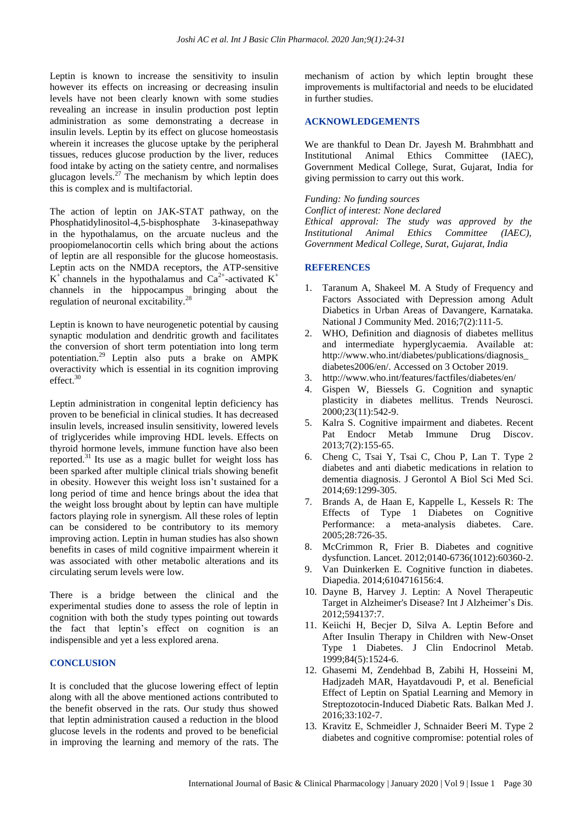Leptin is known to increase the sensitivity to insulin however its effects on increasing or decreasing insulin levels have not been clearly known with some studies revealing an increase in insulin production post leptin administration as some demonstrating a decrease in insulin levels. Leptin by its effect on glucose homeostasis wherein it increases the glucose uptake by the peripheral tissues, reduces glucose production by the liver, reduces food intake by acting on the satiety centre, and normalises glucagon levels.<sup>27</sup> The mechanism by which leptin does this is complex and is multifactorial.

The action of leptin on JAK-STAT pathway, on the Phosphatidylinositol-4,5-bisphosphate 3-kinasepathway in the hypothalamus, on the arcuate nucleus and the proopiomelanocortin cells which bring about the actions of leptin are all responsible for the glucose homeostasis. Leptin acts on the NMDA receptors, the ATP-sensitive  $K^+$  channels in the hypothalamus and Ca<sup>2+</sup>-activated  $K^+$ channels in the hippocampus bringing about the regulation of neuronal excitability.<sup>28</sup>

Leptin is known to have neurogenetic potential by causing synaptic modulation and dendritic growth and facilitates the conversion of short term potentiation into long term potentiation.<sup>29</sup> Leptin also puts a brake on AMPK overactivity which is essential in its cognition improving effect.<sup>30</sup>

Leptin administration in congenital leptin deficiency has proven to be beneficial in clinical studies. It has decreased insulin levels, increased insulin sensitivity, lowered levels of triglycerides while improving HDL levels. Effects on thyroid hormone levels, immune function have also been reported.<sup>31</sup> Its use as a magic bullet for weight loss has been sparked after multiple clinical trials showing benefit in obesity. However this weight loss isn't sustained for a long period of time and hence brings about the idea that the weight loss brought about by leptin can have multiple factors playing role in synergism. All these roles of leptin can be considered to be contributory to its memory improving action. Leptin in human studies has also shown benefits in cases of mild cognitive impairment wherein it was associated with other metabolic alterations and its circulating serum levels were low.

There is a bridge between the clinical and the experimental studies done to assess the role of leptin in cognition with both the study types pointing out towards the fact that leptin's effect on cognition is an indispensible and yet a less explored arena.

#### **CONCLUSION**

It is concluded that the glucose lowering effect of leptin along with all the above mentioned actions contributed to the benefit observed in the rats. Our study thus showed that leptin administration caused a reduction in the blood glucose levels in the rodents and proved to be beneficial in improving the learning and memory of the rats. The mechanism of action by which leptin brought these improvements is multifactorial and needs to be elucidated in further studies.

### **ACKNOWLEDGEMENTS**

We are thankful to Dean Dr. Jayesh M. Brahmbhatt and Institutional Animal Ethics Committee (IAEC), Government Medical College, Surat, Gujarat, India for giving permission to carry out this work.

#### *Funding: No funding sources*

*Conflict of interest: None declared Ethical approval: The study was approved by the Institutional Animal Ethics Committee (IAEC), Government Medical College, Surat, Gujarat, India*

## **REFERENCES**

- 1. Taranum A, Shakeel M. A Study of Frequency and Factors Associated with Depression among Adult Diabetics in Urban Areas of Davangere, Karnataka. National J Community Med. 2016;7(2):111-5.
- 2. WHO, Definition and diagnosis of diabetes mellitus and intermediate hyperglycaemia. Available at: http://www.who.int/diabetes/publications/diagnosis\_ diabetes2006/en/. Accessed on 3 October 2019.
- 3. http://www.who.int/features/factfiles/diabetes/en/
- 4. Gispen W, Biessels G. Cognition and synaptic plasticity in diabetes mellitus. Trends Neurosci. 2000;23(11):542-9.
- 5. Kalra S. Cognitive impairment and diabetes. Recent Pat Endocr Metab Immune Drug Discov. 2013;7(2):155-65.
- 6. Cheng C, Tsai Y, Tsai C, Chou P, Lan T. Type 2 diabetes and anti diabetic medications in relation to dementia diagnosis. J Gerontol A Biol Sci Med Sci. 2014;69:1299-305.
- 7. Brands A, de Haan E, Kappelle L, Kessels R: The Effects of Type 1 Diabetes on Cognitive Performance: a meta-analysis diabetes. Care. 2005;28:726-35.
- 8. McCrimmon R, Frier B. Diabetes and cognitive dysfunction. Lancet. 2012;0140-6736(1012):60360-2.
- 9. Van Duinkerken E. Cognitive function in diabetes. Diapedia. 2014;6104716156:4.
- 10. Dayne B, Harvey J. Leptin: A Novel Therapeutic Target in Alzheimer's Disease? Int J Alzheimer's Dis. 2012;594137:7.
- 11. Keiichi H, Becjer D, Silva A. Leptin Before and After Insulin Therapy in Children with New-Onset Type 1 Diabetes. J Clin Endocrinol Metab. 1999;84(5):1524-6.
- 12. Ghasemi M, Zendehbad B, Zabihi H, Hosseini M, Hadjzadeh MAR, Hayatdavoudi P, et al. Beneficial Effect of Leptin on Spatial Learning and Memory in Streptozotocin-Induced Diabetic Rats. Balkan Med J. 2016;33:102-7.
- 13. Kravitz E, Schmeidler J, Schnaider Beeri M. Type 2 diabetes and cognitive compromise: potential roles of